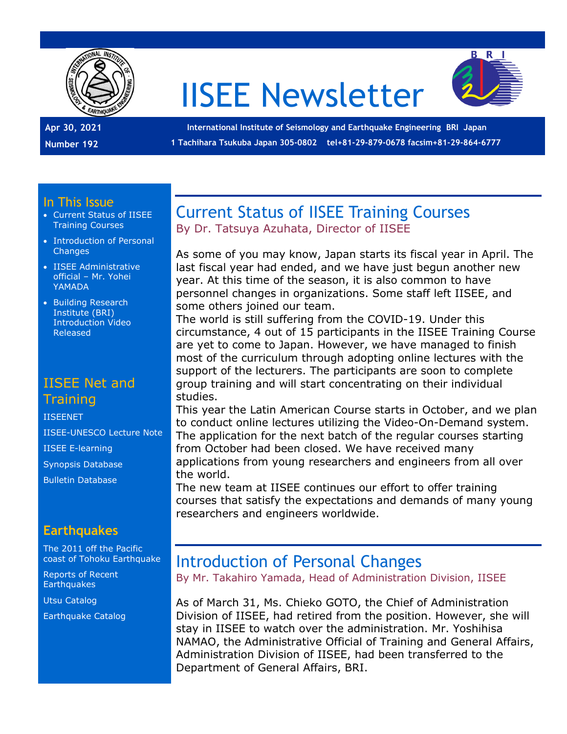

# IISEE Newsletter



**Apr 30, 2021 Number 192**

**International Institute of Seismology and Earthquake Engineering BRI Japan 1 Tachihara Tsukuba Japan 305-0802 tel+81-29-879-0678 facsim+81-29-864-6777**

#### In This Issue

- Current Status of IISEE Training Courses
- Introduction of Personal **Changes**
- IISEE Administrative official – Mr. Yohei YAMADA
- Building Research Institute (BRI) Introduction Video Released

## IISEE Net and **Training**

#### [IISEENET](http://iisee.kenken.go.jp/net/)

[IISEE-UNESCO Lecture Note](http://iisee/lna/) [IISEE E-learning](http://iisee/el/) [Synopsis Database](http://iisee/syndb/) [Bulletin Database](http://iisee/bltndb/)

## **Earthquakes**

[The 2011 off the Pacific](http://iisee/special2/20110311tohoku.htm)  [coast of Tohoku Earthquake](http://iisee/special2/20110311tohoku.htm)

[Reports of Recent](http://iisee/quakes.htm)  **[Earthquakes](http://iisee/quakes.htm)** 

[Utsu Catalog](http://iisee/utsu/index_eng.html)

[Earthquake Catalog](http://iisee/eqcat/Top_page_en.htm)

## Current Status of IISEE Training Courses By Dr. Tatsuya Azuhata, Director of IISEE

As some of you may know, Japan starts its fiscal year in April. The last fiscal year had ended, and we have just begun another new year. At this time of the season, it is also common to have personnel changes in organizations. Some staff left IISEE, and some others joined our team.

The world is still suffering from the COVID-19. Under this circumstance, 4 out of 15 participants in the IISEE Training Course are yet to come to Japan. However, we have managed to finish most of the curriculum through adopting online lectures with the support of the lecturers. The participants are soon to complete group training and will start concentrating on their individual studies.

This year the Latin American Course starts in October, and we plan to conduct online lectures utilizing the Video-On-Demand system. The application for the next batch of the regular courses starting from October had been closed. We have received many applications from young researchers and engineers from all over the world.

The new team at IISEE continues our effort to offer training courses that satisfy the expectations and demands of many young researchers and engineers worldwide.

# Introduction of Personal Changes

By Mr. Takahiro Yamada, Head of Administration Division, IISEE

As of March 31, Ms. Chieko GOTO, the Chief of Administration Division of IISEE, had retired from the position. However, she will stay in IISEE to watch over the administration. Mr. Yoshihisa NAMAO, the Administrative Official of Training and General Affairs, Administration Division of IISEE, had been transferred to the Department of General Affairs, BRI.